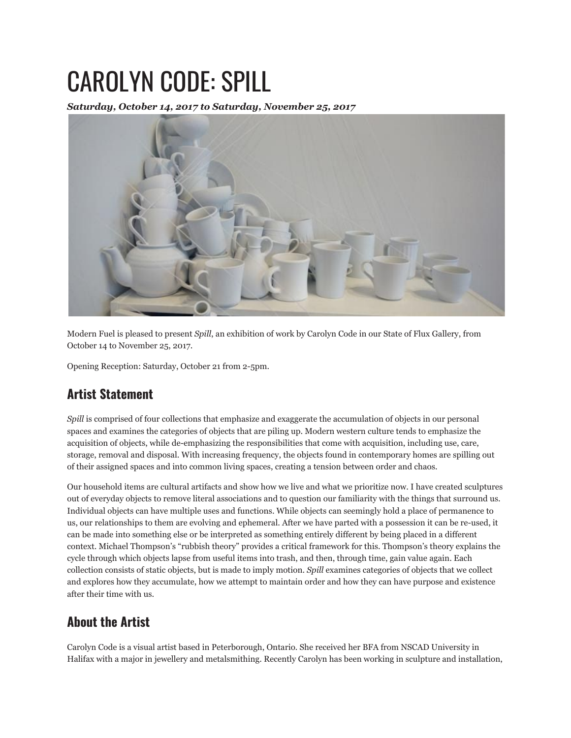## CAROLYN CODE: SPILL

*Saturday, October 14, 2017 to Saturday, November 25, 2017*



Modern Fuel is pleased to present *Spill*, an exhibition of work by Carolyn Code in our State of Flux Gallery, from October 14 to November 25, 2017.

Opening Reception: Saturday, October 21 from 2-5pm.

## **Artist Statement**

*Spill* is comprised of four collections that emphasize and exaggerate the accumulation of objects in our personal spaces and examines the categories of objects that are piling up. Modern western culture tends to emphasize the acquisition of objects, while de-emphasizing the responsibilities that come with acquisition, including use, care, storage, removal and disposal. With increasing frequency, the objects found in contemporary homes are spilling out of their assigned spaces and into common living spaces, creating a tension between order and chaos.

Our household items are cultural artifacts and show how we live and what we prioritize now. I have created sculptures out of everyday objects to remove literal associations and to question our familiarity with the things that surround us. Individual objects can have multiple uses and functions. While objects can seemingly hold a place of permanence to us, our relationships to them are evolving and ephemeral. After we have parted with a possession it can be re-used, it can be made into something else or be interpreted as something entirely different by being placed in a different context. Michael Thompson's "rubbish theory" provides a critical framework for this. Thompson's theory explains the cycle through which objects lapse from useful items into trash, and then, through time, gain value again. Each collection consists of static objects, but is made to imply motion. *Spill* examines categories of objects that we collect and explores how they accumulate, how we attempt to maintain order and how they can have purpose and existence after their time with us.

## **About the Artist**

Carolyn Code is a visual artist based in Peterborough, Ontario. She received her BFA from NSCAD University in Halifax with a major in jewellery and metalsmithing. Recently Carolyn has been working in sculpture and installation,